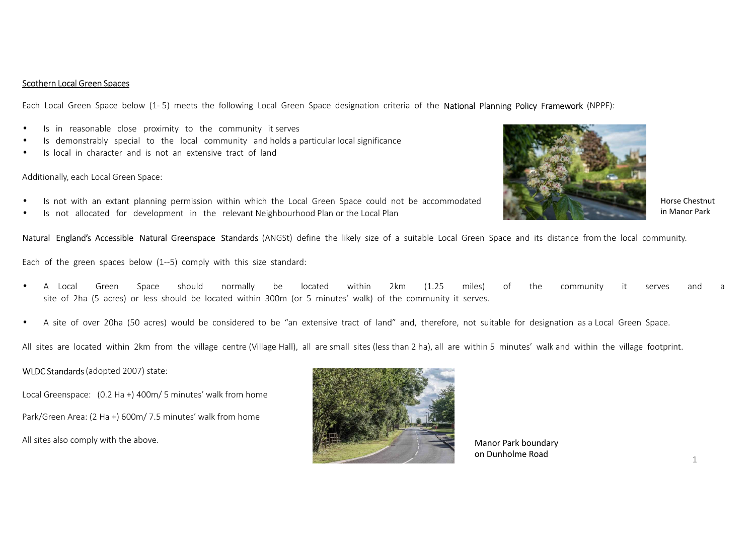## Scothern Local Green Spaces

Each Local Green Space below (1-5) meets the following Local Green Space designation criteria of the National Planning Policy Framework (NPPF):

- •Is in reasonable close proximity to the community it serves
- •Is demonstrably special to the local community and holds <sup>a</sup> particular local significance
- •Is local in character and is not an extensive tract of land

Additionally, each Local Green Space:

- •Is not with an extant planning permission within which the Local Green Space could not be accommodated
- •Is not allocated for development in the relevant Neighbourhood Plan or the Local Plan

**Natural England's Accessible Natural Greenspace Standards** (ANGSt) define the likely size of a suitable Local Green Space and its distance from the local community.

Each of the green spaces below (1--5) comply with this size standard:

- • <sup>A</sup> Local Green Space should normally be located within 2km (1.25 miles) of the community it serves and <sup>a</sup> site of 2ha (5 acres) or less should be located within 300m (or <sup>5</sup> minutes' walk) of the community it serves.
- •<sup>A</sup> site of over 20ha (50 acres) would be considered to be "an extensive tract of land" and, therefore, not suitable for designation as <sup>a</sup> Local Green Space.

All sites are located within 2km from the village centre (Village Hall), all are small sites (less than 2 ha), all are within 5 minutes' walk and within the village footprint.

## **WLDC Standards** (adopted 2007) state:

Local Greenspace: (0.2 Ha +) 400m/ <sup>5</sup> minutes' walk from home Park/Green Area: (2 Ha +) 600m/ 7.5 minutes' walk from home All sites also comply with the above.



Manor Park boundary on Dunholme Road



Horse Chestnut in Manor Park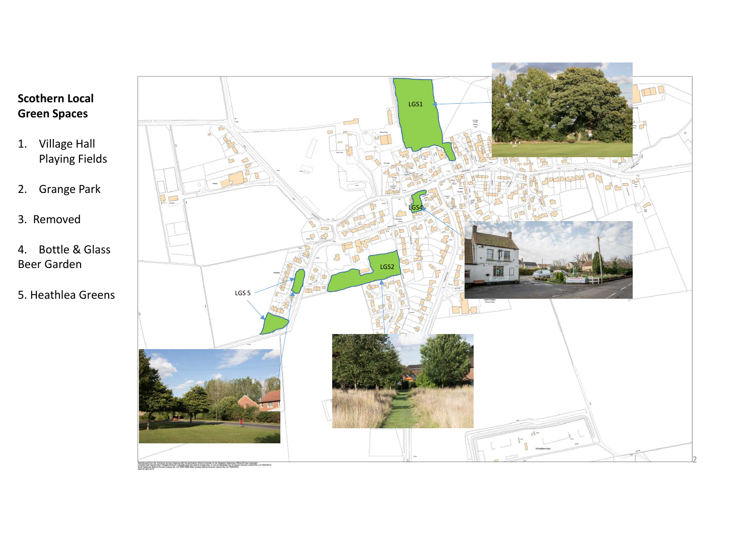

- 1. Village Hall Playing Fields
- 2. Grange Park
- 3. Removed
- 4. Bottle & Glass Beer Garden
- 5. Heathlea Greens

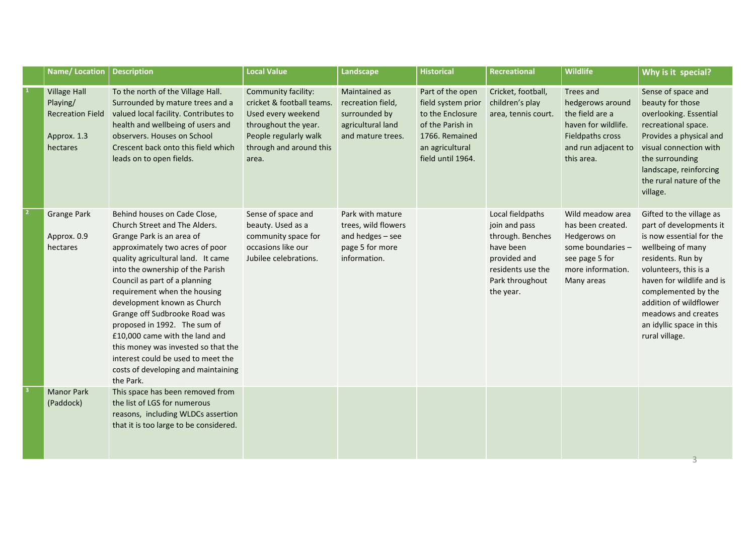| <b>Name/Location</b>                                                                  | <b>Description</b>                                                                                                                                                                                                                                                                                                                                                                                                                                                                                                                          | <b>Local Value</b>                                                                                                                                          | Landscape                                                                                      | <b>Historical</b>                                                                                                                        | <b>Recreational</b>                                                                                                                     | <b>Wildlife</b>                                                                                                                  | Why is it special?                                                                                                                                                                                                                                                                                    |
|---------------------------------------------------------------------------------------|---------------------------------------------------------------------------------------------------------------------------------------------------------------------------------------------------------------------------------------------------------------------------------------------------------------------------------------------------------------------------------------------------------------------------------------------------------------------------------------------------------------------------------------------|-------------------------------------------------------------------------------------------------------------------------------------------------------------|------------------------------------------------------------------------------------------------|------------------------------------------------------------------------------------------------------------------------------------------|-----------------------------------------------------------------------------------------------------------------------------------------|----------------------------------------------------------------------------------------------------------------------------------|-------------------------------------------------------------------------------------------------------------------------------------------------------------------------------------------------------------------------------------------------------------------------------------------------------|
| <b>Village Hall</b><br>Playing/<br><b>Recreation Field</b><br>Approx. 1.3<br>hectares | To the north of the Village Hall.<br>Surrounded by mature trees and a<br>valued local facility. Contributes to<br>health and wellbeing of users and<br>observers. Houses on School<br>Crescent back onto this field which<br>leads on to open fields.                                                                                                                                                                                                                                                                                       | Community facility:<br>cricket & football teams.<br>Used every weekend<br>throughout the year.<br>People regularly walk<br>through and around this<br>area. | Maintained as<br>recreation field,<br>surrounded by<br>agricultural land<br>and mature trees.  | Part of the open<br>field system prior<br>to the Enclosure<br>of the Parish in<br>1766. Remained<br>an agricultural<br>field until 1964. | Cricket, football,<br>children's play<br>area, tennis court.                                                                            | Trees and<br>hedgerows around<br>the field are a<br>haven for wildlife.<br>Fieldpaths cross<br>and run adjacent to<br>this area. | Sense of space and<br>beauty for those<br>overlooking. Essential<br>recreational space.<br>Provides a physical and<br>visual connection with<br>the surrounding<br>landscape, reinforcing<br>the rural nature of the<br>village.                                                                      |
| <b>Grange Park</b><br>Approx. 0.9<br>hectares                                         | Behind houses on Cade Close,<br>Church Street and The Alders.<br>Grange Park is an area of<br>approximately two acres of poor<br>quality agricultural land. It came<br>into the ownership of the Parish<br>Council as part of a planning<br>requirement when the housing<br>development known as Church<br>Grange off Sudbrooke Road was<br>proposed in 1992. The sum of<br>£10,000 came with the land and<br>this money was invested so that the<br>interest could be used to meet the<br>costs of developing and maintaining<br>the Park. | Sense of space and<br>beauty. Used as a<br>community space for<br>occasions like our<br>Jubilee celebrations.                                               | Park with mature<br>trees, wild flowers<br>and hedges - see<br>page 5 for more<br>information. |                                                                                                                                          | Local fieldpaths<br>join and pass<br>through. Benches<br>have been<br>provided and<br>residents use the<br>Park throughout<br>the year. | Wild meadow area<br>has been created.<br>Hedgerows on<br>some boundaries -<br>see page 5 for<br>more information.<br>Many areas  | Gifted to the village as<br>part of developments it<br>is now essential for the<br>wellbeing of many<br>residents. Run by<br>volunteers, this is a<br>haven for wildlife and is<br>complemented by the<br>addition of wildflower<br>meadows and creates<br>an idyllic space in this<br>rural village. |
| <b>Manor Park</b><br>(Paddock)                                                        | This space has been removed from<br>the list of LGS for numerous<br>reasons, including WLDCs assertion<br>that it is too large to be considered.                                                                                                                                                                                                                                                                                                                                                                                            |                                                                                                                                                             |                                                                                                |                                                                                                                                          |                                                                                                                                         |                                                                                                                                  |                                                                                                                                                                                                                                                                                                       |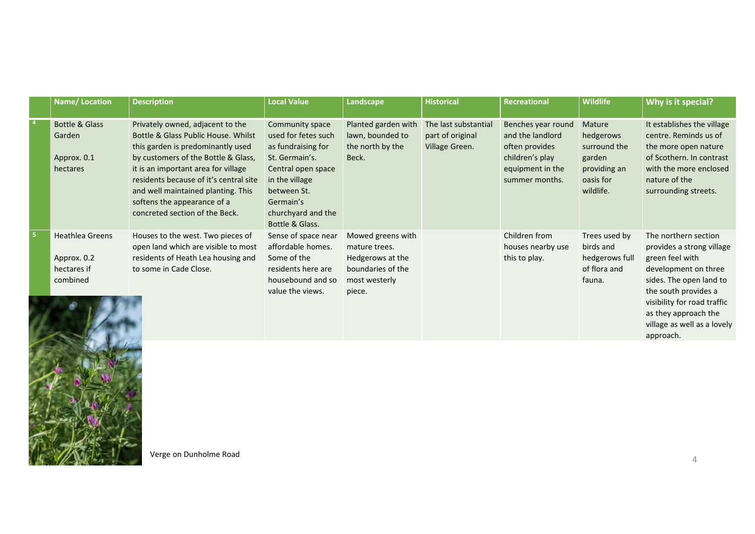| <b>Name/Location</b>                                             | <b>Description</b>                                                                                                                                                                                                                                                                                                                          | <b>Local Value</b>                                                                                                                                                                          | Landscape                                                                                              | <b>Historical</b>                                          | Recreational                                                                                                      | Wildlife                                                                                | Why is it special?                                                                                                                                                         |
|------------------------------------------------------------------|---------------------------------------------------------------------------------------------------------------------------------------------------------------------------------------------------------------------------------------------------------------------------------------------------------------------------------------------|---------------------------------------------------------------------------------------------------------------------------------------------------------------------------------------------|--------------------------------------------------------------------------------------------------------|------------------------------------------------------------|-------------------------------------------------------------------------------------------------------------------|-----------------------------------------------------------------------------------------|----------------------------------------------------------------------------------------------------------------------------------------------------------------------------|
| Bottle & Glass<br>Garden<br>Approx. 0.1<br>hectares              | Privately owned, adjacent to the<br>Bottle & Glass Public House, Whilst<br>this garden is predominantly used<br>by customers of the Bottle & Glass,<br>it is an important area for village<br>residents because of it's central site<br>and well maintained planting. This<br>softens the appearance of a<br>concreted section of the Beck. | Community space<br>used for fetes such<br>as fundraising for<br>St. Germain's.<br>Central open space<br>in the village<br>between St.<br>Germain's<br>churchyard and the<br>Bottle & Glass. | Planted garden with<br>lawn, bounded to<br>the north by the<br>Beck.                                   | The last substantial<br>part of original<br>Village Green. | Benches year round<br>and the landlord<br>often provides<br>children's play<br>equipment in the<br>summer months. | Mature<br>hedgerows<br>surround the<br>garden<br>providing an<br>oasis for<br>wildlife. | It establishes the village<br>centre. Reminds us of<br>the more open nature<br>of Scothern. In contrast<br>with the more enclosed<br>nature of the<br>surrounding streets. |
| <b>Heathlea Greens</b><br>Approx. 0.2<br>hectares if<br>combined | Houses to the west. Two pieces of<br>open land which are visible to most<br>residents of Heath Lea housing and<br>to some in Cade Close.                                                                                                                                                                                                    | Sense of space near<br>affordable homes.<br>Some of the<br>residents here are<br>housebound and so<br>value the views.                                                                      | Mowed greens with<br>mature trees.<br>Hedgerows at the<br>boundaries of the<br>most westerly<br>piece. |                                                            | Children from<br>houses nearby use<br>this to play.                                                               | Trees used by<br>birds and<br>hedgerows full<br>of flora and<br>fauna.                  | The northern section<br>provides a strong village<br>green feel with<br>development on three<br>sides. The open land to<br>the south provides a                            |
|                                                                  |                                                                                                                                                                                                                                                                                                                                             |                                                                                                                                                                                             |                                                                                                        |                                                            |                                                                                                                   |                                                                                         | visibility for road traffic<br>as they approach the<br>village as well as a lovely                                                                                         |



Verge on Dunholme Road

approach.